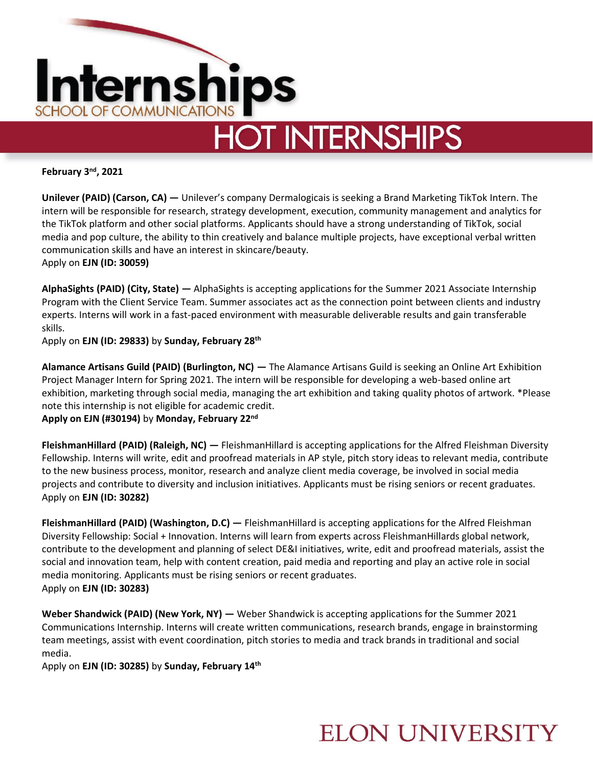

**February 3 nd, 2021**

**Unilever (PAID) (Carson, CA) —** Unilever's company Dermalogicais is seeking a Brand Marketing TikTok Intern. The intern will be responsible for research, strategy development, execution, community management and analytics for the TikTok platform and other social platforms. Applicants should have a strong understanding of TikTok, social media and pop culture, the ability to thin creatively and balance multiple projects, have exceptional verbal written communication skills and have an interest in skincare/beauty. Apply on **EJN (ID: 30059)** 

**AlphaSights (PAID) (City, State) —** AlphaSights is accepting applications for the Summer 2021 Associate Internship Program with the Client Service Team. Summer associates act as the connection point between clients and industry experts. Interns will work in a fast-paced environment with measurable deliverable results and gain transferable skills.

Apply on **EJN (ID: 29833)** by **Sunday, February 28th**

**Alamance Artisans Guild (PAID) (Burlington, NC) —** The Alamance Artisans Guild is seeking an Online Art Exhibition Project Manager Intern for Spring 2021. The intern will be responsible for developing a web-based online art exhibition, marketing through social media, managing the art exhibition and taking quality photos of artwork. \*Please note this internship is not eligible for academic credit.

**Apply on EJN (#30194)** by **Monday, February 22nd**

**FleishmanHillard (PAID) (Raleigh, NC) —** FleishmanHillard is accepting applications for the Alfred Fleishman Diversity Fellowship. Interns will write, edit and proofread materials in AP style, pitch story ideas to relevant media, contribute to the new business process, monitor, research and analyze client media coverage, be involved in social media projects and contribute to diversity and inclusion initiatives. Applicants must be rising seniors or recent graduates. Apply on **EJN (ID: 30282)**

**FleishmanHillard (PAID) (Washington, D.C) —** FleishmanHillard is accepting applications for the Alfred Fleishman Diversity Fellowship: Social + Innovation. Interns will learn from experts across FleishmanHillards global network, contribute to the development and planning of select DE&I initiatives, write, edit and proofread materials, assist the social and innovation team, help with content creation, paid media and reporting and play an active role in social media monitoring. Applicants must be rising seniors or recent graduates. Apply on **EJN (ID: 30283)** 

**Weber Shandwick (PAID) (New York, NY) —** Weber Shandwick is accepting applications for the Summer 2021 Communications Internship. Interns will create written communications, research brands, engage in brainstorming team meetings, assist with event coordination, pitch stories to media and track brands in traditional and social media.

Apply on **EJN (ID: 30285)** by **Sunday, February 14th**

## **ELON UNIVERSITY**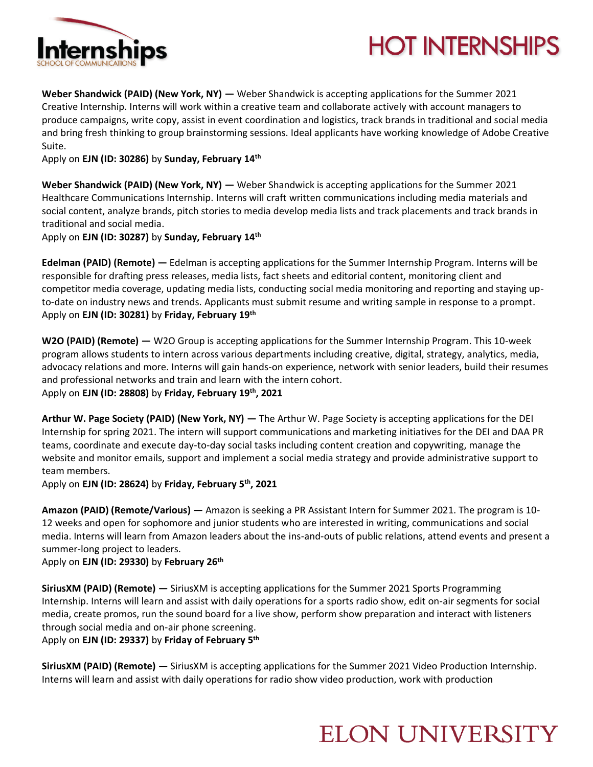

# **HOT INTERNSHIPS**

**Weber Shandwick (PAID) (New York, NY) —** Weber Shandwick is accepting applications for the Summer 2021 Creative Internship. Interns will work within a creative team and collaborate actively with account managers to produce campaigns, write copy, assist in event coordination and logistics, track brands in traditional and social media and bring fresh thinking to group brainstorming sessions. Ideal applicants have working knowledge of Adobe Creative Suite.

Apply on **EJN (ID: 30286)** by **Sunday, February 14th**

**Weber Shandwick (PAID) (New York, NY) — Weber Shandwick is accepting applications for the Summer 2021** Healthcare Communications Internship. Interns will craft written communications including media materials and social content, analyze brands, pitch stories to media develop media lists and track placements and track brands in traditional and social media.

Apply on **EJN (ID: 30287)** by **Sunday, February 14th**

**Edelman (PAID) (Remote) —** Edelman is accepting applications for the Summer Internship Program. Interns will be responsible for drafting press releases, media lists, fact sheets and editorial content, monitoring client and competitor media coverage, updating media lists, conducting social media monitoring and reporting and staying upto-date on industry news and trends. Applicants must submit resume and writing sample in response to a prompt. Apply on **EJN (ID: 30281)** by **Friday, February 19th**

**W2O (PAID) (Remote) —** W2O Group is accepting applications for the Summer Internship Program. This 10-week program allows students to intern across various departments including creative, digital, strategy, analytics, media, advocacy relations and more. Interns will gain hands-on experience, network with senior leaders, build their resumes and professional networks and train and learn with the intern cohort. Apply on **EJN (ID: 28808)** by **Friday, February 19th, 2021**

**Arthur W. Page Society (PAID) (New York, NY) —** The Arthur W. Page Society is accepting applications for the DEI Internship for spring 2021. The intern will support communications and marketing initiatives for the DEI and DAA PR teams, coordinate and execute day-to-day social tasks including content creation and copywriting, manage the website and monitor emails, support and implement a social media strategy and provide administrative support to team members.

Apply on **EJN (ID: 28624)** by **Friday, February 5th, 2021**

**Amazon (PAID) (Remote/Various) —** Amazon is seeking a PR Assistant Intern for Summer 2021. The program is 10- 12 weeks and open for sophomore and junior students who are interested in writing, communications and social media. Interns will learn from Amazon leaders about the ins-and-outs of public relations, attend events and present a summer-long project to leaders.

Apply on **EJN (ID: 29330)** by **February 26th**

**SiriusXM (PAID) (Remote) —** SiriusXM is accepting applications for the Summer 2021 Sports Programming Internship. Interns will learn and assist with daily operations for a sports radio show, edit on-air segments for social media, create promos, run the sound board for a live show, perform show preparation and interact with listeners through social media and on-air phone screening.

Apply on **EJN (ID: 29337)** by **Friday of February 5th**

**SiriusXM (PAID) (Remote) —** SiriusXM is accepting applications for the Summer 2021 Video Production Internship. Interns will learn and assist with daily operations for radio show video production, work with production

### **ELON UNIVERSITY**